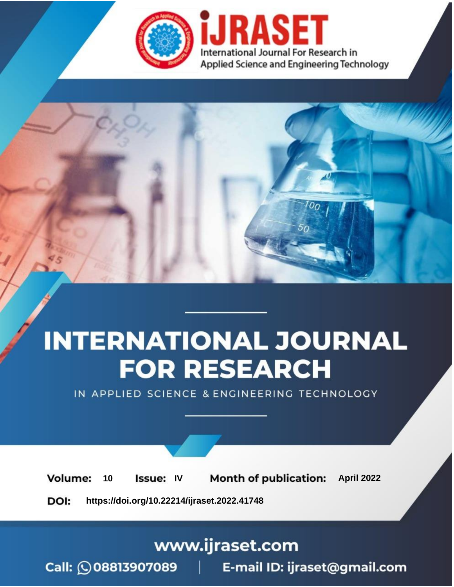

# **INTERNATIONAL JOURNAL FOR RESEARCH**

IN APPLIED SCIENCE & ENGINEERING TECHNOLOGY

10 **Issue: IV Month of publication:** April 2022 **Volume:** 

**https://doi.org/10.22214/ijraset.2022.41748**DOI:

www.ijraset.com

Call: 008813907089 | E-mail ID: ijraset@gmail.com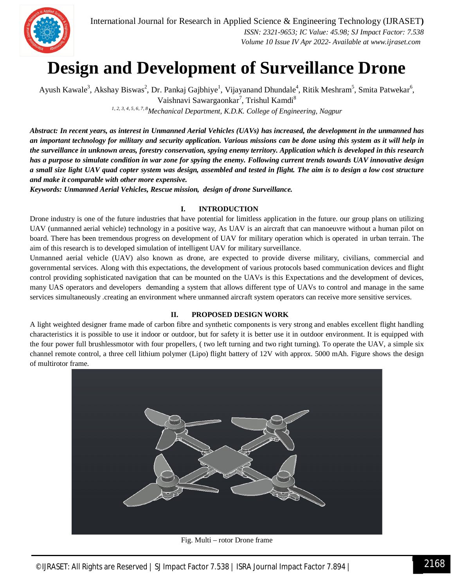

### **Design and Development of Surveillance Drone**

Ayush Kawale<sup>3</sup>, Akshay Biswas<sup>2</sup>, Dr. Pankaj Gajbhiye<sup>1</sup>, Vijayanand Dhundale<sup>4</sup>, Ritik Meshram<sup>5</sup>, Smita Patwekar<sup>6</sup>, Vaishnavi Sawargaonkar<sup>7</sup>, Trishul Kamdi<sup>8</sup>

*1, 2, 3, 4, 5, 6, 7, 8Mechanical Department, K.D.K. College of Engineering, Nagpur*

*Abstract: In recent years, as interest in Unmanned Aerial Vehicles (UAVs) has increased, the development in the unmanned has an important technology for military and security application. Various missions can be done using this system as it will help in the surveillance in unknown areas, forestry conservation, spying enemy territory. Application which is developed in this research has a purpose to simulate condition in war zone for spying the enemy. Following current trends towards UAV innovative design a small size light UAV quad copter system was design, assembled and tested in flight. The aim is to design a low cost structure and make it comparable with other more expensive.*

*Keywords: Unmanned Aerial Vehicles, Rescue mission, design of drone Surveillance.*

#### **I. INTRODUCTION**

Drone industry is one of the future industries that have potential for limitless application in the future. our group plans on utilizing UAV (unmanned aerial vehicle) technology in a positive way, As UAV is an aircraft that can manoeuvre without a human pilot on board. There has been tremendous progress on development of UAV for military operation which is operated in urban terrain. The aim of this research is to developed simulation of intelligent UAV for military surveillance.

Unmanned aerial vehicle (UAV) also known as drone, are expected to provide diverse military, civilians, commercial and governmental services. Along with this expectations, the development of various protocols based communication devices and flight control providing sophisticated navigation that can be mounted on the UAVs is this Expectations and the development of devices, many UAS operators and developers demanding a system that allows different type of UAVs to control and manage in the same services simultaneously .creating an environment where unmanned aircraft system operators can receive more sensitive services.

#### **II. PROPOSED DESIGN WORK**

A light weighted designer frame made of carbon fibre and synthetic components is very strong and enables excellent flight handling characteristics it is possible to use it indoor or outdoor, but for safety it is better use it in outdoor environment. It is equipped with the four power full brushlessmotor with four propellers, ( two left turning and two right turning). To operate the UAV, a simple six channel remote control, a three cell lithium polymer (Lipo) flight battery of 12V with approx. 5000 mAh. Figure shows the design of multirotor frame.



Fig. Multi – rotor Drone frame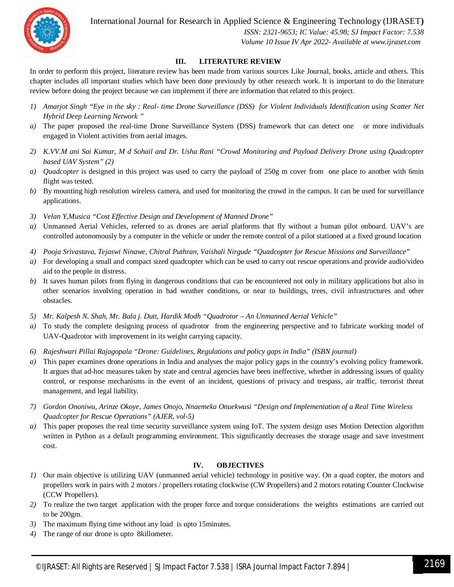

International Journal for Research in Applied Science & Engineering Technology (IJRASET**)**

 *ISSN: 2321-9653; IC Value: 45.98; SJ Impact Factor: 7.538 Volume 10 Issue IV Apr 2022- Available at www.ijraset.com*

#### **III. LITERATURE REVIEW**

In order to perform this project, literature review has been made from various sources Like Journal, books, article and others. This chapter includes all important studies which have been done previously by other research work. It is important to do the literature review before doing the project because we can implement if there are information that related to this project.

- *1) Amarjot Singh "Eye in the sky : Real- time Drone Surveillance (DSS) for Violent Individuals Identification using Scatter Net Hybrid Deep Learning Network "*
- *a*) The paper proposed the real-time Drone Surveillance System (DSS) framework that can detect one or more individuals engaged in Violent activities from aerial images.
- *2) K.VV.M ani Sai Kumar, M d Sohail and Dr. Usha Rani "Crowd Monitoring and Payload Delivery Drone using Quadcopter based UAV System" (2)*
- *a) Quadcopter* is designed in this project was used to carry the payload of 250g m cover from one place to another with 6min flight was tested.
- *b*) By mounting high resolution wireless camera, and used for monitoring the crowd in the campus. It can be used for surveillance applications.
- *3) Velan Y,Musica "Cost Effective Design and Development of Manned Drone"*
- *a)* Unmanned Aerial Vehicles, referred to as drones are aerial platforms that fly without a human pilot onboard. UAV's are controlled autonomously by a computer in the vehicle or under the remote control of a pilot stationed at a fixed ground location
- *4) Pooja Srivastava, Tejaswi Ninawe, Chitral Puthran, Vaishali Nirgude "Quadcopter for Rescue Missions and Surveillance"*
- *a)* For developing a small and compact sized quadcopter which can be used to carry out rescue operations and provide audio/video aid to the people in distress.
- *b*) It saves human pilots from flying in dangerous conditions that can be encountered not only in military applications but also in other scenarios involving operation in bad weather conditions, or near to buildings, trees, civil infrastructures and other obstacles.
- *5) Mr. Kalpesh N. Shah, Mr. Bala j. Dutt, Hardik Modh "Quadrotor – An Unmanned Aerial Vehicle"*
- *a*) To study the complete designing process of quadrotor from the engineering perspective and to fabricate working model of UAV-Quadrotor with improvement in its weight carrying capacity.
- *6) Rajeshwari Pillai Rajagopala "Drone: Guidelines, Regulations and policy gaps in India" (ISBN journal)*
- *a)* This paper examines drone operations in India and analyses the major policy gaps in the country's evolving policy framework. It argues that ad-hoc measures taken by state and central agencies have been ineffective, whether in addressing issues of quality control, or response mechanisms in the event of an incident, questions of privacy and trespass, air traffic, terrorist threat management, and legal liability.
- *7) Gordon Ononiwu, Arinze Okoye, James Onojo, Nnaemeka Onuekwusi "Design and Implementation of a Real Time Wireless Quadcopter for Rescue Operations" (AJER, vol-5)*
- *a)* This paper proposes the real time security surveillance system using IoT. The system design uses Motion Detection algorithm written in Python as a default programming environment. This significantly decreases the storage usage and save investment cost.

#### **IV. OBJECTIVES**

- *1)* Our main objective is utilizing UAV (unmanned aerial vehicle) technology in positive way. On a quad copter, the motors and propellers work in pairs with 2 motors / propellers rotating clockwise (CW Propellers) and 2 motors rotating Counter Clockwise (CCW Propellers).
- *2)* To realize the two target application with the proper force and torque considerations the weights estimations are carried out to be 200gm.
- *3)* The maximum flying time without any load is upto 15minutes.
- *4)* The range of our drone is upto 8killometer.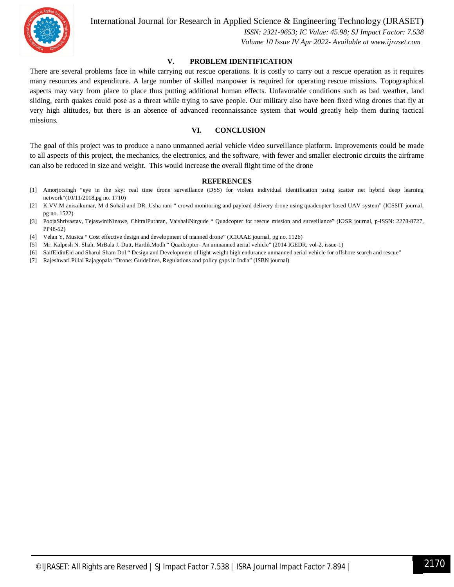

International Journal for Research in Applied Science & Engineering Technology (IJRASET**)**

 *ISSN: 2321-9653; IC Value: 45.98; SJ Impact Factor: 7.538 Volume 10 Issue IV Apr 2022- Available at www.ijraset.com*

#### **V. PROBLEM IDENTIFICATION**

There are several problems face in while carrying out rescue operations. It is costly to carry out a rescue operation as it requires many resources and expenditure. A large number of skilled manpower is required for operating rescue missions. Topographical aspects may vary from place to place thus putting additional human effects. Unfavorable conditions such as bad weather, land sliding, earth quakes could pose as a threat while trying to save people. Our military also have been fixed wing drones that fly at very high altitudes, but there is an absence of advanced reconnaissance system that would greatly help them during tactical missions.

#### **VI. CONCLUSION**

The goal of this project was to produce a nano unmanned aerial vehicle video surveillance platform. Improvements could be made to all aspects of this project, the mechanics, the electronics, and the software, with fewer and smaller electronic circuits the airframe can also be reduced in size and weight. This would increase the overall flight time of the drone

#### **REFERENCES**

- [1] Amorjotsingh "eye in the sky: real time drone surveillance (DSS) for violent individual identification using scatter net hybrid deep learning network"(10/11/2018,pg no. 1710)
- [2] K.VV.M anisaikumar, M d Sohail and DR. Usha rani " crowd monitoring and payload delivery drone using quadcopter based UAV system" (ICSSIT journal, pg no. 1522)
- [3] PoojaShrivastav, TejaswiniNinawe, ChitralPuthran, VaishaliNirgude " Quadcopter for rescue mission and surveillance" (IOSR journal, p-ISSN: 2278-8727, PP48-52)
- [4] Velan Y, Musica " Cost effective design and development of manned drone" (ICRAAE journal, pg no. 1126)
- [5] Mr. Kalpesh N. Shah, MrBala J. Dutt, HardikModh " Quadcopter- An unmanned aerial vehicle" (2014 IGEDR, vol-2, issue-1)
- [6] SaifEldinEid and Sharul Sham Dol " Design and Development of light weight high endurance unmanned aerial vehicle for offshore search and rescue"
- [7] Rajeshwari Pillai Rajagopala "Drone: Guidelines, Regulations and policy gaps in India" (ISBN journal)